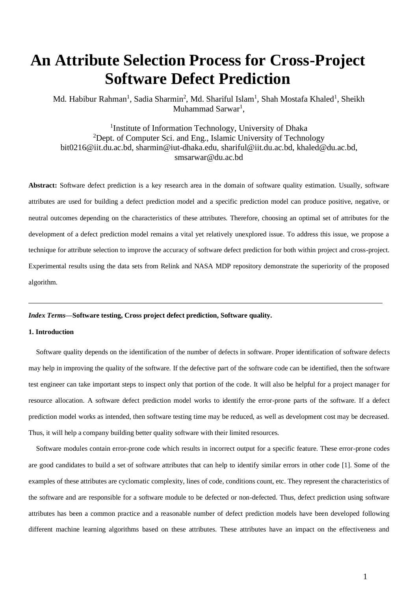# **An Attribute Selection Process for Cross-Project Software Defect Prediction**

Md. Habibur Rahman<sup>1</sup>, Sadia Sharmin<sup>2</sup>, Md. Shariful Islam<sup>1</sup>, Shah Mostafa Khaled<sup>1</sup>, Sheikh Muhammad Sarwar<sup>1</sup>,

<sup>1</sup>Institute of Information Technology, University of Dhaka <sup>2</sup>Dept. of Computer Sci. and Eng., Islamic University of Technology bit0216@iit.du.ac.bd, sharmin@iut-dhaka.edu, shariful@iit.du.ac.bd, khaled@du.ac.bd, smsarwar@du.ac.bd

**Abstract:** Software defect prediction is a key research area in the domain of software quality estimation. Usually, software attributes are used for building a defect prediction model and a specific prediction model can produce positive, negative, or neutral outcomes depending on the characteristics of these attributes. Therefore, choosing an optimal set of attributes for the development of a defect prediction model remains a vital yet relatively unexplored issue. To address this issue, we propose a technique for attribute selection to improve the accuracy of software defect prediction for both within project and cross-project. Experimental results using the data sets from Relink and NASA MDP repository demonstrate the superiority of the proposed algorithm.

## *Index Terms***—Software testing, Cross project defect prediction, Software quality.**

### **1. Introduction**

Software quality depends on the identification of the number of defects in software. Proper identification of software defects may help in improving the quality of the software. If the defective part of the software code can be identified, then the software test engineer can take important steps to inspect only that portion of the code. It will also be helpful for a project manager for resource allocation. A software defect prediction model works to identify the error-prone parts of the software. If a defect prediction model works as intended, then software testing time may be reduced, as well as development cost may be decreased. Thus, it will help a company building better quality software with their limited resources.

Software modules contain error-prone code which results in incorrect output for a specific feature. These error-prone codes are good candidates to build a set of software attributes that can help to identify similar errors in other code [1]. Some of the examples of these attributes are cyclomatic complexity, lines of code, conditions count, etc. They represent the characteristics of the software and are responsible for a software module to be defected or non-defected. Thus, defect prediction using software attributes has been a common practice and a reasonable number of defect prediction models have been developed following different machine learning algorithms based on these attributes. These attributes have an impact on the effectiveness and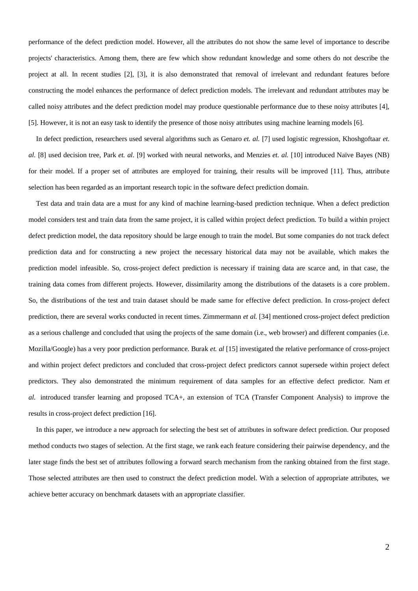performance of the defect prediction model. However, all the attributes do not show the same level of importance to describe projects' characteristics. Among them, there are few which show redundant knowledge and some others do not describe the project at all. In recent studies [2], [3], it is also demonstrated that removal of irrelevant and redundant features before constructing the model enhances the performance of defect prediction models. The irrelevant and redundant attributes may be called noisy attributes and the defect prediction model may produce questionable performance due to these noisy attributes [4], [5]. However, it is not an easy task to identify the presence of those noisy attributes using machine learning models [6].

In defect prediction, researchers used several algorithms such as Genaro *et. al.* [7] used logistic regression, Khoshgoftaar *et. al.* [8] used decision tree, Park *et. al.* [9] worked with neural networks, and Menzies *et. al.* [10] introduced Naïve Bayes (NB) for their model. If a proper set of attributes are employed for training, their results will be improved [11]. Thus, attribute selection has been regarded as an important research topic in the software defect prediction domain.

Test data and train data are a must for any kind of machine learning-based prediction technique. When a defect prediction model considers test and train data from the same project, it is called within project defect prediction. To build a within project defect prediction model, the data repository should be large enough to train the model. But some companies do not track defect prediction data and for constructing a new project the necessary historical data may not be available, which makes the prediction model infeasible. So, cross-project defect prediction is necessary if training data are scarce and, in that case, the training data comes from different projects. However, dissimilarity among the distributions of the datasets is a core problem. So, the distributions of the test and train dataset should be made same for effective defect prediction. In cross-project defect prediction, there are several works conducted in recent times. Zimmermann *et al.* [34] mentioned cross-project defect prediction as a serious challenge and concluded that using the projects of the same domain (i.e., web browser) and different companies (i.e. Mozilla/Google) has a very poor prediction performance. Burak *et. al* [15] investigated the relative performance of cross-project and within project defect predictors and concluded that cross-project defect predictors cannot supersede within project defect predictors. They also demonstrated the minimum requirement of data samples for an effective defect predictor. Nam *et al.* introduced transfer learning and proposed TCA+, an extension of TCA (Transfer Component Analysis) to improve the results in cross-project defect prediction [16].

In this paper, we introduce a new approach for selecting the best set of attributes in software defect prediction. Our proposed method conducts two stages of selection. At the first stage, we rank each feature considering their pairwise dependency, and the later stage finds the best set of attributes following a forward search mechanism from the ranking obtained from the first stage. Those selected attributes are then used to construct the defect prediction model. With a selection of appropriate attributes, we achieve better accuracy on benchmark datasets with an appropriate classifier.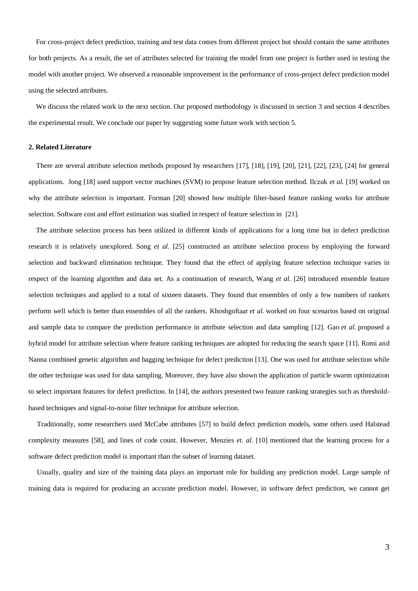For cross-project defect prediction, training and test data comes from different project but should contain the same attributes for both projects. As a result, the set of attributes selected for training the model from one project is further used in testing the model with another project. We observed a reasonable improvement in the performance of cross-project defect prediction model using the selected attributes.

We discuss the related work in the next section. Our proposed methodology is discussed in section 3 and section 4 describes the experimental result. We conclude our paper by suggesting some future work with section 5.

### **2. Related Literature**

There are several attribute selection methods proposed by researchers [17], [18], [19], [20], [21], [22], [23], [24] for general applications. Jong [18] used support vector machines (SVM) to propose feature selection method. Ilczuk *et al.* [19] worked on why the attribute selection is important. Forman [20] showed how multiple filter-based feature ranking works for attribute selection. Software cost and effort estimation was studied in respect of feature selection in [21].

The attribute selection process has been utilized in different kinds of applications for a long time but in defect prediction research it is relatively unexplored. Song *et al.* [25] constructed an attribute selection process by employing the forward selection and backward elimination technique. They found that the effect of applying feature selection technique varies in respect of the learning algorithm and data set. As a continuation of research, Wang *et al.* [26] introduced ensemble feature selection techniques and applied to a total of sixteen datasets. They found that ensembles of only a few numbers of rankers perform well which is better than ensembles of all the rankers. Khoshgoftaar *et al.* worked on four scenarios based on original and sample data to compare the prediction performance in attribute selection and data sampling [12]. Gao *et al.* proposed a hybrid model for attribute selection where feature ranking techniques are adopted for reducing the search space [11]. Romi and Nanna combined genetic algorithm and bagging technique for defect prediction [13]. One was used for attribute selection while the other technique was used for data sampling. Moreover, they have also shown the application of particle swarm optimization to select important features for defect prediction. In [14], the authors presented two feature ranking strategies such as thresholdbased techniques and signal-to-noise filter technique for attribute selection.

Traditionally, some researchers used McCabe attributes [57] to build defect prediction models, some others used Halstead complexity measures [58], and lines of code count. However, Menzies *et. al.* [10] mentioned that the learning process for a software defect prediction model is important than the subset of learning dataset.

Usually, quality and size of the training data plays an important role for building any prediction model. Large sample of training data is required for producing an accurate prediction model. However, in software defect prediction, we cannot get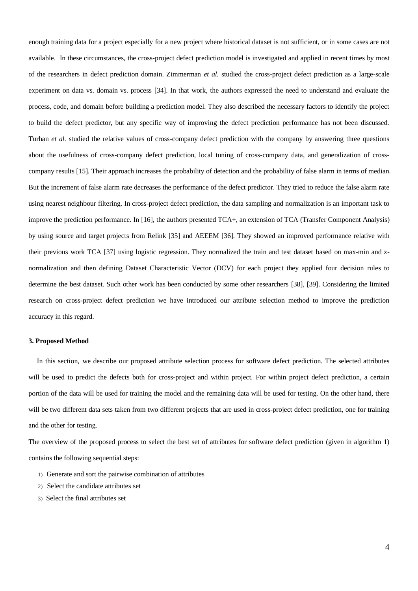enough training data for a project especially for a new project where historical dataset is not sufficient, or in some cases are not available. In these circumstances, the cross-project defect prediction model is investigated and applied in recent times by most of the researchers in defect prediction domain. Zimmerman *et al.* studied the cross-project defect prediction as a large-scale experiment on data vs. domain vs. process [34]. In that work, the authors expressed the need to understand and evaluate the process, code, and domain before building a prediction model. They also described the necessary factors to identify the project to build the defect predictor, but any specific way of improving the defect prediction performance has not been discussed. Turhan *et al.* studied the relative values of cross-company defect prediction with the company by answering three questions about the usefulness of cross-company defect prediction, local tuning of cross-company data, and generalization of crosscompany results [15]. Their approach increases the probability of detection and the probability of false alarm in terms of median. But the increment of false alarm rate decreases the performance of the defect predictor. They tried to reduce the false alarm rate using nearest neighbour filtering. In cross-project defect prediction, the data sampling and normalization is an important task to improve the prediction performance. In [16], the authors presented TCA+, an extension of TCA (Transfer Component Analysis) by using source and target projects from Relink [35] and AEEEM [36]. They showed an improved performance relative with their previous work TCA [37] using logistic regression. They normalized the train and test dataset based on max-min and znormalization and then defining Dataset Characteristic Vector (DCV) for each project they applied four decision rules to determine the best dataset. Such other work has been conducted by some other researchers [38], [39]. Considering the limited research on cross-project defect prediction we have introduced our attribute selection method to improve the prediction accuracy in this regard.

#### **3. Proposed Method**

In this section, we describe our proposed attribute selection process for software defect prediction. The selected attributes will be used to predict the defects both for cross-project and within project. For within project defect prediction, a certain portion of the data will be used for training the model and the remaining data will be used for testing. On the other hand, there will be two different data sets taken from two different projects that are used in cross-project defect prediction, one for training and the other for testing.

The overview of the proposed process to select the best set of attributes for software defect prediction (given in algorithm 1) contains the following sequential steps:

- 1) Generate and sort the pairwise combination of attributes
- 2) Select the candidate attributes set
- 3) Select the final attributes set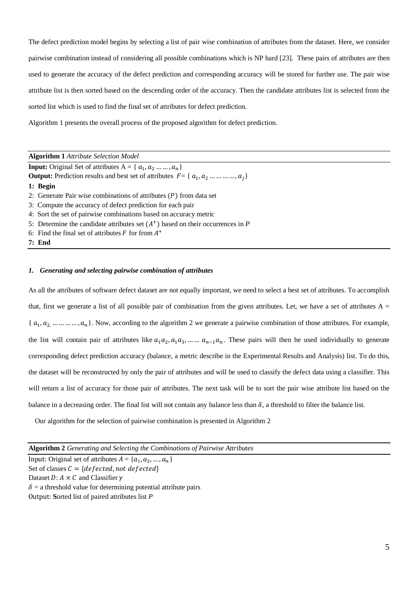The defect prediction model begins by selecting a list of pair wise combination of attributes from the dataset. Here, we consider pairwise combination instead of considering all possible combinations which is NP hard [23]. These pairs of attributes are then used to generate the accuracy of the defect prediction and corresponding accuracy will be stored for further use. The pair wise attribute list is then sorted based on the descending order of the accuracy. Then the candidate attributes list is selected from the sorted list which is used to find the final set of attributes for defect prediction.

Algorithm 1 presents the overall process of the proposed algorithm for defect prediction.

|  | <b>Algorithm 1</b> Attribute Selection Model |
|--|----------------------------------------------|
|--|----------------------------------------------|

**Input:** Original Set of attributes  $A = \{a_1, a_2, \ldots, a_n\}$ **Output:** Prediction results and best set of attributes  $F = \{a_1, a_2, \ldots, a_j\}$ **1: Begin** 2: Generate Pair wise combinations of attributes  $(P)$  from data set 3: Compute the accuracy of defect prediction for each pair 4: Sort the set of pairwise combinations based on accuracy metric 5: Determine the candidate attributes set  $(A<sup>+</sup>)$  based on their occurrences in *P* 6: Find the final set of attributes  $F$  for from  $A^+$ 

**7: End**

# *1. Generating and selecting pairwise combination of attributes*

As all the attributes of software defect dataset are not equally important, we need to select a best set of attributes. To accomplish that, first we generate a list of all possible pair of combination from the given attributes. Let, we have a set of attributes  $A =$ { $a_1, a_2, \ldots, a_n$ }. Now, according to the algorithm 2 we generate a pairwise combination of those attributes. For example, the list will contain pair of attributes like  $a_1a_2$ ,  $a_1a_3$ , ... ...  $a_{n-1}a_n$ . These pairs will then be used individually to generate corresponding defect prediction accuracy (balance, a metric describe in the Experimental Results and Analysis) list. To do this, the dataset will be reconstructed by only the pair of attributes and will be used to classify the defect data using a classifier. This will return a list of accuracy for those pair of attributes. The next task will be to sort the pair wise attribute list based on the balance in a decreasing order. The final list will not contain any balance less than  $\delta$ , a threshold to filter the balance list.

Our algorithm for the selection of pairwise combination is presented in Algorithm 2

**Algorithm 2** *Generating and Selecting the Combinations of Pairwise Attributes*

Input: Original set of attributes  $A = \{a_1, a_2, ..., a_n\}$ Set of classes  $C = \{defected, not defected\}$ Dataset  $D: A \times C$  and Classifier  $\gamma$  $\delta$  = a threshold value for determining potential attribute pairs Output: **S**orted list of paired attributes list *P*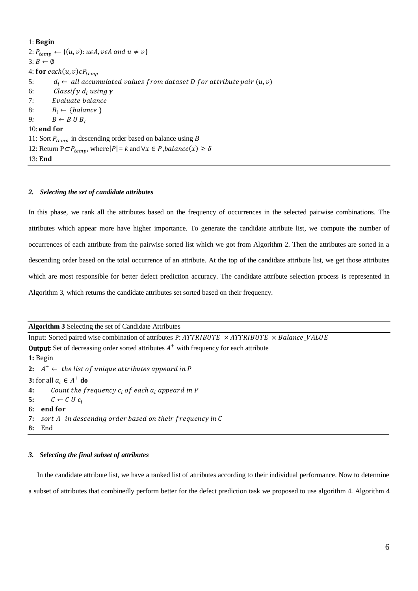# 1: Begin 2:  $P_{temp} \leftarrow \{(u, v): u \in A, v \in A \text{ and } u \neq v\}$  $3: B \leftarrow \emptyset$ 4: for each $(u, v) \in P_{temp}$ 5:  $d_i \leftarrow all accumulated values from dataset D for attribute pair (u, v)$ 6: Classify  $d_i$  using  $\gamma$ 7: 8:  $B_i \leftarrow \{ balance \}$ 9:  $B \leftarrow B \cup B_i$ 10: end for 11: Sort  $P_{temp}$  in descending order based on balance using *B* 12: Return  $P \subset P_{temp}$ , where $|P| = k$  and  $\forall x \in P$ , *balance* $(x) \ge \delta$ 13: End

# *2. Selecting the set of candidate attributes*

In this phase, we rank all the attributes based on the frequency of occurrences in the selected pairwise combinations. The attributes which appear more have higher importance. To generate the candidate attribute list, we compute the number of occurrences of each attribute from the pairwise sorted list which we got from Algorithm 2. Then the attributes are sorted in a descending order based on the total occurrence of an attribute. At the top of the candidate attribute list, we get those attributes which are most responsible for better defect prediction accuracy. The candidate attribute selection process is represented in Algorithm 3, which returns the candidate attributes set sorted based on their frequency.

**Algorithm 3** Selecting the set of Candidate Attributes

Input: Sorted paired wise combination of attributes P:  $ATTRIBUTE \times ATTRIBUTE \times Balance\_VALUE$ **Output:** Set of decreasing order sorted attributes  $A^+$  with frequency for each attribute **1:** Begin  $2\colon$   $A^+ \leftarrow$  the list of unique attributes appeard in P **3:** for all  $a_i \in A^+$  **do 4:** Count the frequency  $c_i$  of each  $a_i$  appeard in P 5:  $C \leftarrow C U C_i$ **6: 7:** sort A<sup>+</sup> in descendng order based on their frequency in C **8:** End

### *3. Selecting the final subset of attributes*

In the candidate attribute list, we have a ranked list of attributes according to their individual performance. Now to determine a subset of attributes that combinedly perform better for the defect prediction task we proposed to use algorithm 4. Algorithm 4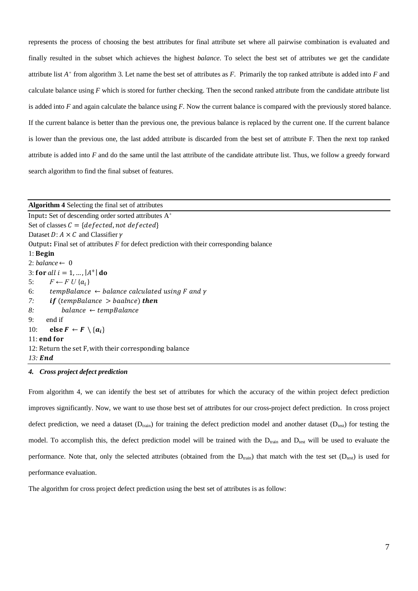represents the process of choosing the best attributes for final attribute set where all pairwise combination is evaluated and finally resulted in the subset which achieves the highest *balance*. To select the best set of attributes we get the candidate attribute list *A +* from algorithm 3. Let name the best set of attributes as *F*. Primarily the top ranked attribute is added into *F* and calculate balance using *F* which is stored for further checking. Then the second ranked attribute from the candidate attribute list is added into *F* and again calculate the balance using *F*. Now the current balance is compared with the previously stored balance. If the current balance is better than the previous one, the previous balance is replaced by the current one. If the current balance is lower than the previous one, the last added attribute is discarded from the best set of attribute F. Then the next top ranked attribute is added into *F* and do the same until the last attribute of the candidate attribute list. Thus, we follow a greedy forward search algorithm to find the final subset of features.

| <b>Algorithm 4</b> Selecting the final set of attributes                                   |
|--------------------------------------------------------------------------------------------|
| Input: Set of descending order sorted attributes A <sup>+</sup>                            |
| Set of classes $C = \{defected, not defected\}$                                            |
| Dataset D: $A \times C$ and Classifier $\gamma$                                            |
| Output: Final set of attributes $F$ for defect prediction with their corresponding balance |
| $1:$ Begin                                                                                 |
| 2: balance $\leftarrow 0$                                                                  |
| 3: for all $i = 1, ,  A^+ $ do                                                             |
| $F \leftarrow F U \{a_i\}$<br>5:                                                           |
| tempBalance $\leftarrow$ balance calculated using F and $\gamma$<br>6:                     |
| 7: <b>if</b> (tempBalance $>$ baalnce) <b>then</b>                                         |
| $balance \leftarrow tempBalance$<br>8:                                                     |
| end if<br>9:                                                                               |
| 10:<br>else $F \leftarrow F \setminus \{a_i\}$                                             |
| $11:$ end for                                                                              |
| 12: Return the set F, with their corresponding balance                                     |
| $13$ : End                                                                                 |

### *4. Cross project defect prediction*

From algorithm 4, we can identify the best set of attributes for which the accuracy of the within project defect prediction improves significantly. Now, we want to use those best set of attributes for our cross-project defect prediction. In cross project defect prediction, we need a dataset ( $D_{train}$ ) for training the defect prediction model and another dataset ( $D_{test}$ ) for testing the model. To accomplish this, the defect prediction model will be trained with the  $D_{train}$  and  $D_{test}$  will be used to evaluate the performance. Note that, only the selected attributes (obtained from the  $D_{train}$ ) that match with the test set ( $D_{test}$ ) is used for performance evaluation.

The algorithm for cross project defect prediction using the best set of attributes is as follow: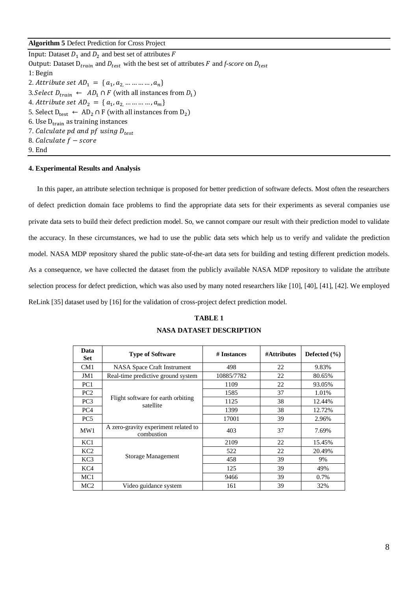# **Algorithm 5** Defect Prediction for Cross Project

Input: Dataset  $D_1$  and  $D_2$  and best set of attributes F Output: Dataset  $D_{train}$  and  $D_{test}$  with the best set of attributes F and *f-score* on  $D_{test}$ 1: Begin 2. Attribute set  $AD_1 = \{a_1, a_2, \dots \dots \dots a_n\}$ 3. Select  $D_{train} \leftarrow AD_1 \cap F$  (with all instances from  $D_1$ ) 4. Attribute set A $D_2 = \{a_1, a_2, \dots \dots \dots \dots a_m\}$ 5. Select  $D_{\text{test}} \leftarrow AD_2 \cap F$  (with all instances from  $D_2$ ) 6. Use  $D_{train}$  as training instances 7. Calculate pd and pf using  $D_{test}$ 8. Calculate  $f$  – score 9. End

# **4. Experimental Results and Analysis**

In this paper, an attribute selection technique is proposed for better prediction of software defects. Most often the researchers of defect prediction domain face problems to find the appropriate data sets for their experiments as several companies use private data sets to build their defect prediction model. So, we cannot compare our result with their prediction model to validate the accuracy. In these circumstances, we had to use the public data sets which help us to verify and validate the prediction model. NASA MDP repository shared the public state-of-the-art data sets for building and testing different prediction models. As a consequence, we have collected the dataset from the publicly available NASA MDP repository to validate the attribute selection process for defect prediction, which was also used by many noted researchers like [10], [40], [41], [42]. We employed ReLink [35] dataset used by [16] for the validation of cross-project defect prediction model.

# **TABLE 1 NASA DATASET DESCRIPTION**

| Data<br><b>Set</b> | <b>Type of Software</b>                            | # Instances | #Attributes | Defected $(\% )$ |
|--------------------|----------------------------------------------------|-------------|-------------|------------------|
| CM <sub>1</sub>    | NASA Space Craft Instrument                        | 498         | 22          | 9.83%            |
| JM1                | Real-time predictive ground system                 | 10885/7782  | 22          | 80.65%           |
| PC <sub>1</sub>    |                                                    | 1109        | 22          | 93.05%           |
| PC <sub>2</sub>    |                                                    | 1585        | 37          | 1.01%            |
| PC <sub>3</sub>    | Flight software for earth orbiting<br>satellite    | 1125        | 38          | 12.44%           |
| PC <sub>4</sub>    |                                                    | 1399        | 38          | 12.72%           |
| PC <sub>5</sub>    |                                                    | 17001       | 39          | 2.96%            |
| MW1                | A zero-gravity experiment related to<br>combustion | 403         | 37          | 7.69%            |
| KC1                |                                                    | 2109        | 22          | 15.45%           |
| KC <sub>2</sub>    |                                                    | 522         | 22          | 20.49%           |
| KC <sub>3</sub>    | Storage Management                                 | 458         | 39          | 9%               |
| KC4                |                                                    | 125         | 39          | 49%              |
| MC <sub>1</sub>    |                                                    | 9466        | 39          | 0.7%             |
| MC <sub>2</sub>    | Video guidance system                              | 161         | 39          | 32%              |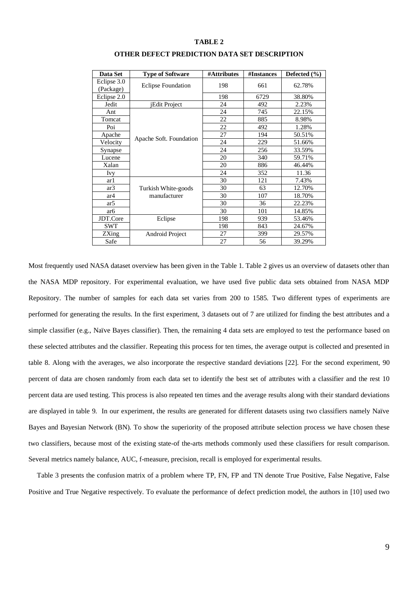## **TABLE 2**

| Data Set                 | <b>Type of Software</b>   | #Attributes | #Instances | Defected $(\% )$ |
|--------------------------|---------------------------|-------------|------------|------------------|
| Eclipse 3.0<br>(Package) | <b>Eclipse Foundation</b> | 198         | 661        | 62.78%           |
| Eclipse 2.0              |                           | 198         | 6729       | 38.80%           |
| Jedit                    | jEdit Project             | 24          | 492        | 2.23%            |
| Ant                      |                           | 24          | 745        | 22.15%           |
| Tomcat                   |                           | 22          | 885        | 8.98%            |
| Poi                      |                           | 22          | 492        | 1.28%            |
| Apache                   |                           | 27          | 194        | 50.51%           |
| Velocity                 | Apache Soft. Foundation   | 24          | 229        | 51.66%           |
| Synapse                  |                           | 24          | 256        | 33.59%           |
| Lucene                   |                           | 20          | 340        | 59.71%           |
| Xalan                    |                           | 20          | 886        | 46.44%           |
| Ivy                      |                           | 24          | 352        | 11.36            |
| ar 1                     |                           | 30          | 121        | 7.43%            |
| ar3                      | Turkish White-goods       | 30          | 63         | 12.70%           |
| ar4                      | manufacturer              | 30          | 107        | 18.70%           |
| ar <sub>5</sub>          |                           | 30          | 36         | 22.23%           |
| ar6                      |                           | 30          | 101        | 14.85%           |
| JDT.Core                 | Eclipse                   | 198         | 939        | 53.46%           |
| SWT                      |                           | 198         | 843        | 24.67%           |
| ZXing                    | Android Project           | 27          | 399        | 29.57%           |
| Safe                     |                           | 27          | 56         | 39.29%           |

## **OTHER DEFECT PREDICTION DATA SET DESCRIPTION**

Most frequently used NASA dataset overview has been given in the Table 1. Table 2 gives us an overview of datasets other than the NASA MDP repository. For experimental evaluation, we have used five public data sets obtained from NASA MDP Repository. The number of samples for each data set varies from 200 to 1585. Two different types of experiments are performed for generating the results. In the first experiment, 3 datasets out of 7 are utilized for finding the best attributes and a simple classifier (e.g., Naïve Bayes classifier). Then, the remaining 4 data sets are employed to test the performance based on these selected attributes and the classifier. Repeating this process for ten times, the average output is collected and presented in table 8. Along with the averages, we also incorporate the respective standard deviations [22]. For the second experiment, 90 percent of data are chosen randomly from each data set to identify the best set of attributes with a classifier and the rest 10 percent data are used testing. This process is also repeated ten times and the average results along with their standard deviations are displayed in table 9. In our experiment, the results are generated for different datasets using two classifiers namely Naïve Bayes and Bayesian Network (BN). To show the superiority of the proposed attribute selection process we have chosen these two classifiers, because most of the existing state-of the-arts methods commonly used these classifiers for result comparison. Several metrics namely balance, AUC, f-measure, precision, recall is employed for experimental results.

Table 3 presents the confusion matrix of a problem where TP, FN, FP and TN denote True Positive, False Negative, False Positive and True Negative respectively. To evaluate the performance of defect prediction model, the authors in [10] used two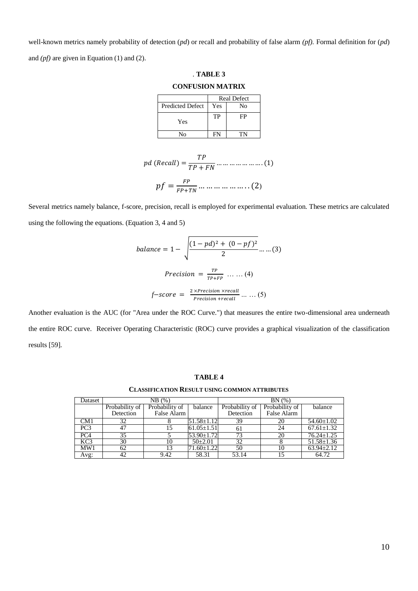well-known metrics namely probability of detection (*pd*) or recall and probability of false alarm *(pf).* Formal definition for (*pd*) and *(pf)* are given in Equation (1) and (2).

. **TABLE 3**

| . ТАВЕЉ Э<br><b>CONFUSION MATRIX</b> |           |                    |  |  |
|--------------------------------------|-----------|--------------------|--|--|
|                                      |           | <b>Real Defect</b> |  |  |
| <b>Predicted Defect</b>              | Yes<br>No |                    |  |  |
| Yes                                  | TP        | FP                 |  |  |
| No                                   | FN        | TN                 |  |  |

 $pd (Recall) = \frac{TP}{TP + FN} ... ... ... ... ... ... (1)$  $pf = \frac{FP}{FP + 1}$  $\frac{1}{FP+TN}$  ... ... ... ... ... ... (2)

Several metrics namely balance, f-score, precision, recall is employed for experimental evaluation. These metrics are calculated using the following the equations. (Equation 3, 4 and 5)

$$
balance = 1 - \sqrt{\frac{(1 - pd)^2 + (0 - pf)^2}{2}} \dots \dots (3)
$$
\n
$$
Precision = \frac{TP}{TP + FP} \dots \dots (4)
$$
\n
$$
f - score = \frac{2 \times Precision \times recall}{Precision + recall} \dots \dots (5)
$$

Another evaluation is the AUC (for "Area under the ROC Curve.") that measures the entire two-dimensional area underneath the entire ROC curve. Receiver Operating Characteristic (ROC) curve provides a graphical visualization of the classification results [59].

### **TABLE 4**

#### **CLASSIFICATION RESULT USING COMMON ATTRIBUTES**

| Dataset         | NB (%)         |                |                  | BN(%)          |                |                  |  |
|-----------------|----------------|----------------|------------------|----------------|----------------|------------------|--|
|                 | Probability of | Probability of | balance          | Probability of | Probability of | balance          |  |
|                 | Detection      | False Alarm    |                  | Detection      | False Alarm    |                  |  |
| CM1             | 32             |                | $51.58 \pm 1.12$ | 39             | 20             | $54.60 \pm 1.02$ |  |
| PC <sub>3</sub> | 47             |                | $61.05 \pm 1.51$ | 61             | 24             | $67.61 \pm 1.32$ |  |
| PC4             | 35             |                | $53.90 \pm 1.72$ | 73             | 20             | $76.24 \pm 1.25$ |  |
| KC3             | 30             | 10             | $50\pm2.01$      | 32             |                | $51.58 \pm 1.36$ |  |
| MW1             | 62             | 13             | 71.60±1.22       | 50             | 10             | $63.94 \pm 2.12$ |  |
| Avg:            | 42             | 9.42           | 58.31            | 53.14          |                | 64.72            |  |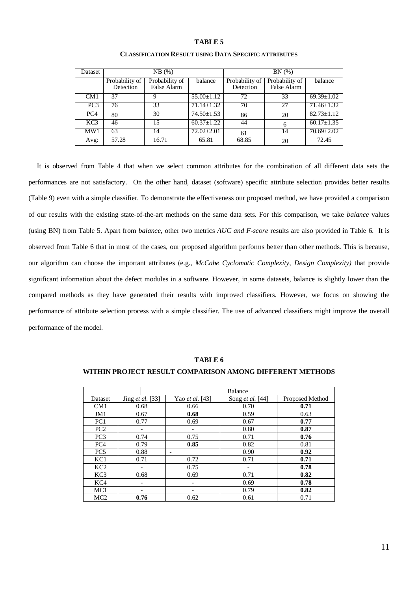### **TABLE 5**

| Dataset         | NB(%)                       |                               |                  | BN(%)                       |                               |                  |
|-----------------|-----------------------------|-------------------------------|------------------|-----------------------------|-------------------------------|------------------|
|                 | Probability of<br>Detection | Probability of<br>False Alarm | balance          | Probability of<br>Detection | Probability of<br>False Alarm | balance          |
| CM1             | 37                          | Q                             | $55.00 \pm 1.12$ | 72                          | 33                            | $69.39 \pm 1.02$ |
| PC <sub>3</sub> | 76                          | 33                            | $71.14 \pm 1.32$ | 70                          | 27                            | $71.46 \pm 1.32$ |
| PC <sub>4</sub> | 80                          | 30                            | $74.50 \pm 1.53$ | 86                          | 20                            | $82.73 \pm 1.12$ |
| KC <sub>3</sub> | 46                          | 15                            | $60.37 \pm 1.22$ | 44                          | 6                             | $60.17 \pm 1.35$ |
| MW1             | 63                          | 14                            | $72.02 \pm 2.01$ | 61                          | 14                            | $70.69 \pm 2.02$ |
| Avg:            | 57.28                       | 16.71                         | 65.81            | 68.85                       | 20                            | 72.45            |

### **CLASSIFICATION RESULT USING DATA SPECIFIC ATTRIBUTES**

It is observed from Table 4 that when we select common attributes for the combination of all different data sets the performances are not satisfactory. On the other hand, dataset (software) specific attribute selection provides better results (Table 9) even with a simple classifier. To demonstrate the effectiveness our proposed method, we have provided a comparison of our results with the existing state-of-the-art methods on the same data sets. For this comparison, we take *balance* values (using BN) from Table 5. Apart from *balance*, other two metrics *AUC and F-score* results are also provided in Table 6. It is observed from Table 6 that in most of the cases, our proposed algorithm performs better than other methods. This is because, our algorithm can choose the important attributes (e.g., *McCabe Cyclomatic Complexity*, *Design Complexity)* that provide significant information about the defect modules in a software. However, in some datasets, balance is slightly lower than the compared methods as they have generated their results with improved classifiers. However, we focus on showing the performance of attribute selection process with a simple classifier. The use of advanced classifiers might improve the overall performance of the model.

|                 |                  |                          | Balance                  |                 |
|-----------------|------------------|--------------------------|--------------------------|-----------------|
| Dataset         | Jing et al. [33] | Yao et al. [43]          | Song <i>et al.</i> [44]  | Proposed Method |
| CM1             | 0.68             | 0.66                     | 0.70                     | 0.71            |
| JM1             | 0.67             | 0.68                     | 0.59                     | 0.63            |
| PC <sub>1</sub> | 0.77             | 0.69                     | 0.67                     | 0.77            |
| PC <sub>2</sub> |                  | $\overline{\phantom{a}}$ | 0.80                     | 0.87            |
| PC <sub>3</sub> | 0.74             | 0.75                     | 0.71                     | 0.76            |
| PC <sub>4</sub> | 0.79             | 0.85                     | 0.82                     | 0.81            |
| PC <sub>5</sub> | 0.88             | $\overline{\phantom{a}}$ | 0.90                     | 0.92            |
| KC1             | 0.71             | 0.72                     | 0.71                     | 0.71            |
| KC2             |                  | 0.75                     | $\overline{\phantom{a}}$ | 0.78            |
| KC <sub>3</sub> | 0.68             | 0.69                     | 0.71                     | 0.82            |
| KC4             |                  | $\overline{\phantom{a}}$ | 0.69                     | 0.78            |
| MC <sub>1</sub> |                  | -                        | 0.79                     | 0.82            |
| MC <sub>2</sub> | 0.76             | 0.62                     | 0.61                     | 0.71            |

### **TABLE 6**

# **WITHIN PROJECT RESULT COMPARISON AMONG DIFFERENT METHODS**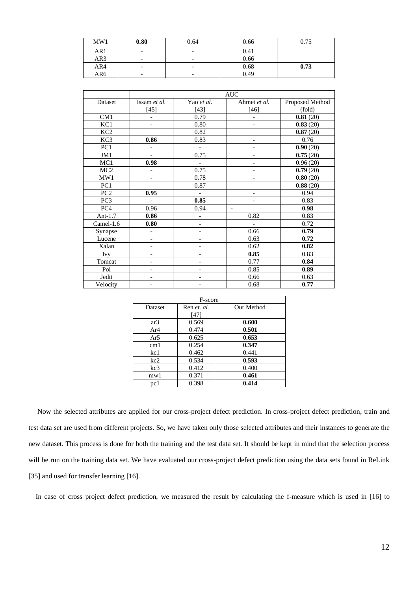| MW1 | 0.80                     | 0.64                     | 0.66 | 0.75 |
|-----|--------------------------|--------------------------|------|------|
| AR1 | -                        | $\overline{\phantom{0}}$ | 0.41 |      |
| AR3 | $\overline{\phantom{0}}$ | $\overline{\phantom{0}}$ | 0.66 |      |
| AR4 |                          | $\overline{\phantom{0}}$ | 0.68 | 0.73 |
| AR6 | $\overline{\phantom{0}}$ | $\overline{\phantom{0}}$ | 0.49 |      |

|                 | <b>AUC</b>               |                          |                          |                 |  |
|-----------------|--------------------------|--------------------------|--------------------------|-----------------|--|
| Dataset         | Issam et al.             | Yao et al.               | Ahmet et al.             | Proposed Method |  |
|                 | $[45]$                   | $[43]$                   | $[46]$                   | (fold)          |  |
| CM1             | $\overline{a}$           | 0.79                     |                          | 0.81(20)        |  |
| KC1             | $\overline{\phantom{0}}$ | 0.80                     | $\overline{\phantom{a}}$ | 0.83(20)        |  |
| KC <sub>2</sub> |                          | 0.82                     |                          | 0.87(20)        |  |
| KC3             | 0.86                     | 0.83                     | $\overline{a}$           | 0.76            |  |
| PC1             | $\overline{a}$           | $\blacksquare$           |                          | 0.90(20)        |  |
| JM1             | $\overline{a}$           | 0.75                     |                          | 0.75(20)        |  |
| MC1             | 0.98                     | $\mathcal{L}$            |                          | 0.96(20)        |  |
| MC <sub>2</sub> |                          | 0.75                     |                          | 0.79(20)        |  |
| MW1             | $\overline{\phantom{0}}$ | 0.78                     |                          | 0.80(20)        |  |
| PC <sub>1</sub> |                          | 0.87                     |                          | 0.88(20)        |  |
| PC <sub>2</sub> | 0.95                     | $\overline{\phantom{a}}$ | $\overline{\phantom{a}}$ | 0.94            |  |
| PC <sub>3</sub> | $\overline{a}$           | 0.85                     |                          | 0.83            |  |
| PC4             | 0.96                     | 0.94                     | $\overline{\phantom{a}}$ | 0.98            |  |
| Ant-1.7         | 0.86                     |                          | 0.82                     | 0.83            |  |
| Camel-1.6       | 0.80                     | $\overline{a}$           |                          | 0.72            |  |
| Synapse         | $\overline{a}$           |                          | 0.66                     | 0.79            |  |
| Lucene          | $\overline{\phantom{0}}$ |                          | 0.63                     | 0.72            |  |
| Xalan           | $\overline{\phantom{0}}$ |                          | 0.62                     | 0.82            |  |
| Ivy             | $\overline{a}$           | $\overline{\phantom{0}}$ | 0.85                     | 0.83            |  |
| Tomcat          |                          |                          | 0.77                     | 0.84            |  |
| Poi             |                          |                          | 0.85                     | 0.89            |  |
| Jedit           |                          |                          | 0.66                     | 0.63            |  |
| Velocity        |                          |                          | 0.68                     | 0.77            |  |

|                 | F-score     |            |  |  |  |  |  |
|-----------------|-------------|------------|--|--|--|--|--|
| Dataset         | Ren et. al. | Our Method |  |  |  |  |  |
|                 | [47]        |            |  |  |  |  |  |
| ar3             | 0.569       | 0.600      |  |  |  |  |  |
| Ar <sub>4</sub> | 0.474       | 0.501      |  |  |  |  |  |
| Ar5             | 0.625       | 0.653      |  |  |  |  |  |
| cm1             | 0.254       | 0.347      |  |  |  |  |  |
| kc1             | 0.462       | 0.441      |  |  |  |  |  |
| kc2             | 0.534       | 0.593      |  |  |  |  |  |
| kc3             | 0.412       | 0.400      |  |  |  |  |  |
| mw1             | 0.371       | 0.461      |  |  |  |  |  |
| pc 1            | 0.398       | 0.414      |  |  |  |  |  |

 Now the selected attributes are applied for our cross-project defect prediction. In cross-project defect prediction, train and test data set are used from different projects. So, we have taken only those selected attributes and their instances to generate the new dataset. This process is done for both the training and the test data set. It should be kept in mind that the selection process will be run on the training data set. We have evaluated our cross-project defect prediction using the data sets found in ReLink [35] and used for transfer learning [16].

In case of cross project defect prediction, we measured the result by calculating the f-measure which is used in [16] to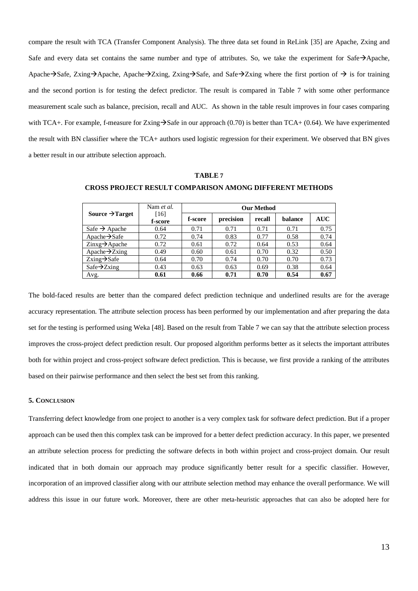compare the result with TCA (Transfer Component Analysis). The three data set found in ReLink [35] are Apache, Zxing and Safe and every data set contains the same number and type of attributes. So, we take the experiment for Safe→Apache, Apache→Safe, Zxing→Apache, Apache→Zxing, Zxing→Safe, and Safe→Zxing where the first portion of → is for training and the second portion is for testing the defect predictor. The result is compared in Table 7 with some other performance measurement scale such as balance, precision, recall and AUC. As shown in the table result improves in four cases comparing with TCA+. For example, f-measure for Zxing $\rightarrow$ Safe in our approach (0.70) is better than TCA+ (0.64). We have experimented the result with BN classifier where the TCA+ authors used logistic regression for their experiment. We observed that BN gives a better result in our attribute selection approach.

|                                              | Nam <i>et al.</i> | <b>Our Method</b> |           |        |         |            |  |
|----------------------------------------------|-------------------|-------------------|-----------|--------|---------|------------|--|
| Source $\rightarrow$ Target                  | [16]<br>f-score   | f-score           | precision | recall | halance | <b>AUC</b> |  |
| Safe $\rightarrow$ Apache                    | 0.64              | 0.71              | 0.71      | 0.71   | 0.71    | 0.75       |  |
| Apache $\rightarrow$ Safe                    | 0.72              | 0.74              | 0.83      | 0.77   | 0.58    | 0.74       |  |
| $\text{Zinxg}\rightarrow \text{Apace}$       | 0.72              | 0.61              | 0.72      | 0.64   | 0.53    | 0.64       |  |
| Apache $\rightarrow$ Zxing                   | 0.49              | 0.60              | 0.61      | 0.70   | 0.32    | 0.50       |  |
| $\overline{\text{Zxing}}$ $\rightarrow$ Safe | 0.64              | 0.70              | 0.74      | 0.70   | 0.70    | 0.73       |  |
| $Safe \rightarrow Zxing$                     | 0.43              | 0.63              | 0.63      | 0.69   | 0.38    | 0.64       |  |
| Avg.                                         | 0.61              | 0.66              | 0.71      | 0.70   | 0.54    | 0.67       |  |

**TABLE 7**

**CROSS PROJECT RESULT COMPARISON AMONG DIFFERENT METHODS** 

The bold-faced results are better than the compared defect prediction technique and underlined results are for the average accuracy representation. The attribute selection process has been performed by our implementation and after preparing the data set for the testing is performed using Weka [48]. Based on the result from Table 7 we can say that the attribute selection process improves the cross-project defect prediction result. Our proposed algorithm performs better as it selects the important attributes both for within project and cross-project software defect prediction. This is because, we first provide a ranking of the attributes based on their pairwise performance and then select the best set from this ranking.

### **5. CONCLUSION**

Transferring defect knowledge from one project to another is a very complex task for software defect prediction. But if a proper approach can be used then this complex task can be improved for a better defect prediction accuracy. In this paper, we presented an attribute selection process for predicting the software defects in both within project and cross-project domain. Our result indicated that in both domain our approach may produce significantly better result for a specific classifier. However, incorporation of an improved classifier along with our attribute selection method may enhance the overall performance. We will address this issue in our future work. Moreover, there are other meta-heuristic approaches that can also be adopted here for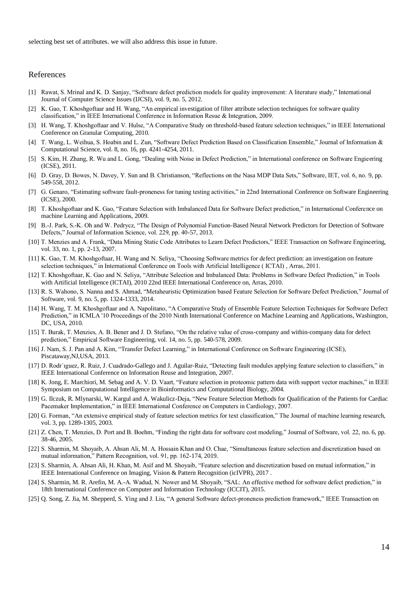selecting best set of attributes. we will also address this issue in future.

# References

- [1] Rawat, S. Mrinal and K. D. Sanjay, "Software defect prediction models for quality improvement: A literature study," International Journal of Computer Science Issues (IJCSI), vol. 9, no. 5, 2012.
- [2] K. Gao, T. Khoshgoftaar and H. Wang, "An empirical investigation of filter attribute selection techniques for software quality classification," in IEEE International Conference in Information Resue & Integration, 2009.
- [3] H. Wang, T. Khoshgoftaar and V. Hulse, "A Comparative Study on threshold-based feature selection techniques," in IEEE International Conference on Granular Computing, 2010.
- [4] T. Wang, L. Weihua, S. Hoabin and L. Zun, "Software Defect Prediction Based on Classification Ensemble," Journal of Information & Computational Science, vol. 8, no. 16, pp. 4241-4254, 2011.
- [5] S. Kim, H. Zhang, R. Wu and L. Gong, "Dealing with Noise in Defect Prediction," in International conference on Software Engieering (ICSE), 2011.
- [6] D. Gray, D. Bowes, N. Davey, Y. Sun and B. Christianson, "Reflections on the Nasa MDP Data Sets," Software, IET, vol. 6, no. 9, pp. 549-558, 2012.
- [7] G. Genaro, "Estimating software fault-proneness for tuning testing activities," in 22nd International Conference on Software Engineering (ICSE), 2000.
- [8] T. Khoshgoftaar and K. Gao, "Feature Selection with Imbalanced Data for Software Defect prediction," in International Conference on machine Learning and Applications, 2009.
- [9] B.-J. Park, S.-K. Oh and W. Pedrycz, "The Design of Polynomial Function-Based Neural Network Predictors for Detection of Software Defects," Journal of Information Science, vol. 229, pp. 40-57, 2013.
- [10] T. Menzies and A. Frank, "Data Mining Static Code Attributes to Learn Defect Predictors," IEEE Transaction on Software Engineering, vol. 33, no. 1, pp. 2-13, 2007.
- [11] K. Gao, T. M. Khoshgoftaar, H. Wang and N. Seliya, "Choosing Software metrics for defect prediction: an investigation on feature selection techniques," in International Conference on Tools with Artificial Intelligence ( ICTAI) , Arras, 2011.
- [12] T. Khoshgoftaar, K. Gao and N. Seliya, "Attribute Selection and Imbalanced Data: Problems in Software Defect Prediction," in Tools with Artificial Intelligence (ICTAI), 2010 22nd IEEE International Conference on, Arras, 2010.
- [13] R. S. Wahono, S. Nanna and S. Ahmad, "Metaheuristic Optimization based Feature Selection for Software Defect Prediction," Journal of Software, vol. 9, no. 5, pp. 1324-1333, 2014.
- [14] H. Wang, T. M. Khoshgoftaar and A. Napolitano, "A Comparative Study of Ensemble Feature Selection Techniques for Software Defect Prediction," in ICMLA '10 Proceedings of the 2010 Ninth International Conference on Machine Learning and Applications, Washington, DC, USA, 2010.
- [15] T. Burak, T. Menzies, A. B. Bener and J. D. Stefano, "On the relative value of cross-company and within-company data for defect prediction," Empirical Software Engineering, vol. 14, no. 5, pp. 540-578, 2009.
- [16] J. Nam, S. J. Pan and A. Kim, "Transfer Defect Learning," in International Conference on Software Engineering (ICSE), Piscataway,NJ,USA, 2013.
- [17] D. Rodr´ıguez, R. Ruiz, J. Cuadrado-Gallego and J. Aguilar-Ruiz, "Detecting fault modules applying feature selection to classifiers," in IEEE International Conference on Information Reuse and Integration, 2007.
- [18] K. Jong, E. Marchiori, M. Sebag and A. V. D. Vaart, "Feature selection in proteomic pattern data with support vector machines," in IEEE Symposium on Computational Intelligence in Bioinformatics and Computational Biology, 2004.
- [19] G. Ilczuk, R. Mlynarski, W. Kargul and A. Wakulicz-Deja, "New Feature Selection Methods for Qualification of the Patients for Cardiac Pacemaker Implementation," in IEEE International Conference on Computers in Cardiology, 2007.
- [20] G. Forman, "An extensive empirical study of feature selection metrics for text classification," The Journal of machine learning research, vol. 3, pp. 1289-1305, 2003.
- [21] Z. Chen, T. Menzies, D. Port and B. Boehm, "Finding the right data for software cost modeling," Journal of Software, vol. 22, no. 6, pp. 38-46, 2005.
- [22] S. Sharmin, M. Shoyaib, A. Ahsan Ali, M. A. Hossain Khan and O. Chae, "Simultaneous feature selection and discretization based on mutual information," Pattern Recognition, vol. 91, pp. 162-174, 2019.
- [23] S. Sharmin, A. Ahsan Ali, H. Khan, M. Asif and M. Shoyaib, "Feature selection and discretization based on mutual information," in IEEE International Conference on Imaging, Vision & Pattern Recognition (icIVPR), 2017 .
- [24] S. Sharmin, M. R. Arefin, M. A.-A. Wadud, N. Nower and M. Shoyaib, "SAL: An effective method for software defect prediction," in 18th International Conference on Computer and Information Technology (ICCIT), 2015.
- [25] Q. Song, Z. Jia, M. Shepperd, S. Ying and J. Liu, "A general Software defect-proneness prediction framework," IEEE Transaction on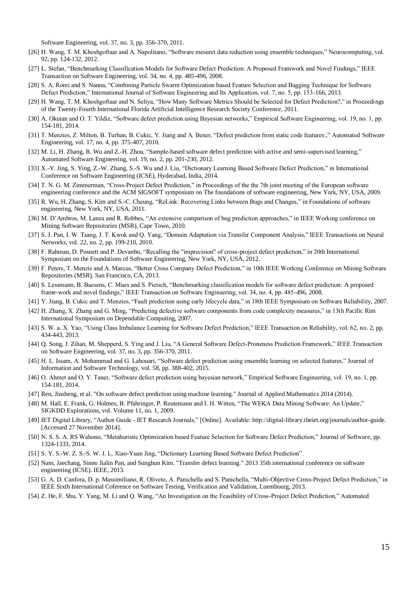Software Engineering, vol. 37, no. 3, pp. 356-370, 2011.

- [26] H. Wang, T. M. Khoshgoftaar and A. Napolitano, "Software mesuret data reduction using ensemble techniques," Neurocomputing, vol. 92, pp. 124-132, 2012.
- [27] L. Stefan, "Benchmarking Classification Models for Software Defect Prediction: A Proposed Framwork and Novel Findings," IEEE Transaction on Software Engineering, vol. 34, no. 4, pp. 485-496, 2008.
- [28] S. A. Romi and S. Nanna, "Combining Particle Swarm Optimization based Feature Selection and Bagging Technique for Software Defect Prediction," International Journal of Software Engineering and Its Application, vol. 7, no. 5, pp. 153-166, 2013.
- [29] H. Wang, T. M. Khoshgoftaar and N. Seliya, "How Many Software Metrics Should be Selected for Defect Prediction?," in Proceedings of the Twenty-Fourth International Florida Artificial Intelligence Research Society Conference, 2011.
- [30] A. Okutan and O. T. Yildiz, "Software defect prediction using Bayesian networks," Empirical Software Engineering, vol. 19, no. 1, pp. 154-181, 2014.
- [31] T. Menzies, Z. Milton, B. Turhan, B. Cukic, Y. Jiang and A. Bener, "Defect prediction from static code features:," Automated Software Engineering, vol. 17, no. 4, pp. 375-407, 2010.
- [32] M. Li, H. Zhang, R. Wu and Z.-H. Zhou, "Sample-based software defect prediction with active and semi-supervised learning," Automated Software Engineering, vol. 19, no. 2, pp. 201-230, 2012.
- [33] X.-Y. Jing, S. Ying, Z.-W. Zhang, S.-S. Wu and J. Liu, "Dictionary Learning Based Software Defect Prediction," in International Conference on Software Engineering (ICSE), Hyderabad, India, 2014.
- [34] T. N. G. M. Zimmerman, "Cross-Project Defect Prediction," in Proceedings of the the 7th joint meeting of the European software engineering conference and the ACM SIGSOFT symposium on The foundations of software engineering, New York, NY, USA, 2009.
- [35] R. Wu, H. Zhang, S. Kim and S.-C. Cheung, "ReLink: Recovering Links between Bugs and Changes," in Foundations of software engineering, New York, NY, USA, 2011.
- [36] M. D'Ambros, M. Lanza and R. Robbes, "An extensive comparison of bug prediction approaches," in IEEE Working conference on Mining Software Repositories (MSR), Cape Town, 2010.
- [37] S. J. Pan, I. W. Tsang, J. T. Kwok and Q. Yang, "Domain Adaptation via Transfer Component Analysis," IEEE Transactions on Neural Networks, vol. 22, no. 2, pp. 199-210, 2010.
- [38] F. Rahman, D. Posnett and P. Devanbu, "Recalling the "imprecision" of cross-project defect prediction," in 20th International Symposium on the Foundations of Software Engineering, New York, NY, USA, 2012.
- [39] F. Peters, T. Menzis and A. Marcus, "Better Cross Company Defect Prediction," in 10th IEEE Working Conference on Mining Software Repositories (MSR), San Francisco, CA, 2013.
- [40] S. Lessmann, B. Baesens, C. Mues and S. Pietsch, "Benchmarking classification models for software defect prediction: A proposed frame-work and novel findings," IEEE Transaction on Software Engineering, vol. 34, no. 4, pp. 485-496, 2008.
- [41] Y. Jiang, B. Cukic and T. Menzies, "Fault prediction using early lifecycle data," in 18th IEEE Symposium on Software Reliability, 2007.
- [42] H. Zhang, X. Zhang and G. Ming, "Predicting defective software components from code complexity measures," in 13th Pacific Rim International Symposium on Dependable Computing, 2007.
- [43] S. W. a. X. Yao, "Using Class Imbalance Learning for Software Defect Prediction," IEEE Transaction on Reliability, vol. 62, no. 2, pp. 434-443, 2013.
- [44] Q. Song, J. Zihan, M. Shepperd, S. Ying and J. Liu, "A General Software Defect-Proneness Prediction Framework," IEEE Transaction on Software Engineering, vol. 37, no. 3, pp. 356-370, 2011.
- [45] H. L. Issam, A. Mohammad and G. Lahouari, "Software defect prediction using ensemble learning on selected features," Journal of Information and Software Technology, vol. 58, pp. 388-402, 2015.
- [46] O. Ahmet and O. Y. Taner, "Software defect prediction using bayesian network," Empirical Software Engineering, vol. 19, no. 1, pp. 154-181, 2014.
- [47] Ren, Jinsheng, et al. "On software defect prediction using machine learning." Journal of Applied Mathematics 2014 (2014).
- [48] M. Hall, E. Frank, G. Holmes, B. Pfahringer, P. Reutemann and I. H. Witten, "The WEKA Data Mining Software: An Update," SIGKDD Explorations, vol. Volume 11, no. 1, 2009.
- [49] IET Digital Library, "Author Guide IET Research Journals," [Online]. Available: http://digital-library.theiet.org/journals/author-guide. [Accessed 27 November 2014].
- [50] N. S. S. A. RS Wahono, "Metahuristic Optimization based Feature Selection for Software Defect Prediction," Journal of Software, pp. 1324-1333, 2014.
- [51] S. Y. S.-W. Z. S.-S. W. J. L. Xiao-Yuan Jing, "Dictionary Learning Based Software Defect Prediction".
- [52] Nam, Jaechang, Sinno Jialin Pan, and Sunghun Kim. "Transfer defect learning." 2013 35th international conference on software engineering (ICSE). IEEE, 2013.
- [53] G. A. D. Canfora, D. p. Massimiliano, R. Oliveto, A. Panichella and S. Panichella, "Multi-Objective Cross-Project Defect Prediction," in IEEE Sixth International Coference on Software Testing, Verification and Validation, Luembourg, 2013.
- [54] Z. He, F. Shu, Y. Yang, M. Li and Q. Wang, "An Investigation on the Feasibility of Cross-Project Defect Prediction," Automated